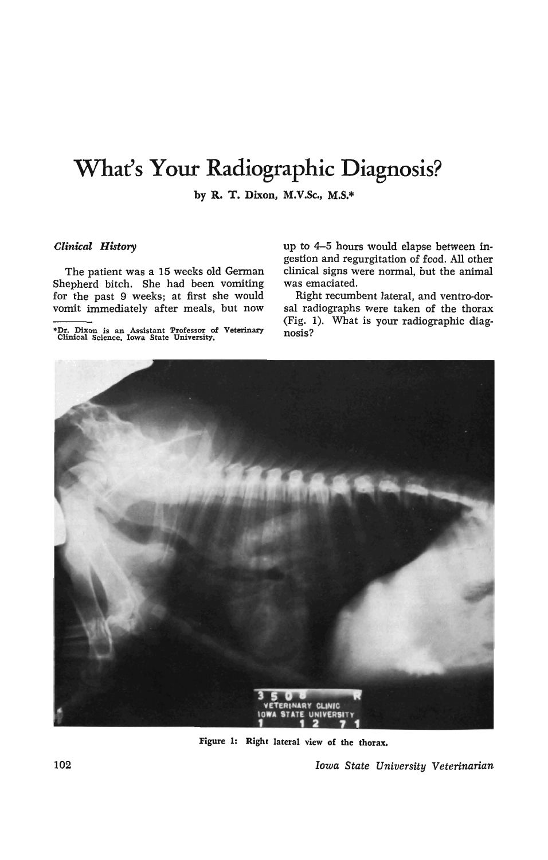# **What's Your Radiographic Diagnosis?**

by R. T. Dixon, M.V.Sc., M.S.\*

### *Clinical History*

The patient was a 15 weeks old German Shepherd bitch. She had been vomiting for the past 9 weeks; at first she would vomit immediately after meals, but now

\*Dr. Dixon is an Assistant :Professor of Veterinuy Clinical Science. Iowa State University.

up to 4-5 hours would elapse between ingestion and regurgitation of food. All other clinical signs were normal, but the animal was emaciated.

Right recumbent lateral, and ventro-dorsal radiographs were taken of the thorax (Fig. 1). What is your radiographic diagnosis?



Figure 1: Right lateral view of the thorax.

102 *Iowa State University Veterinarian*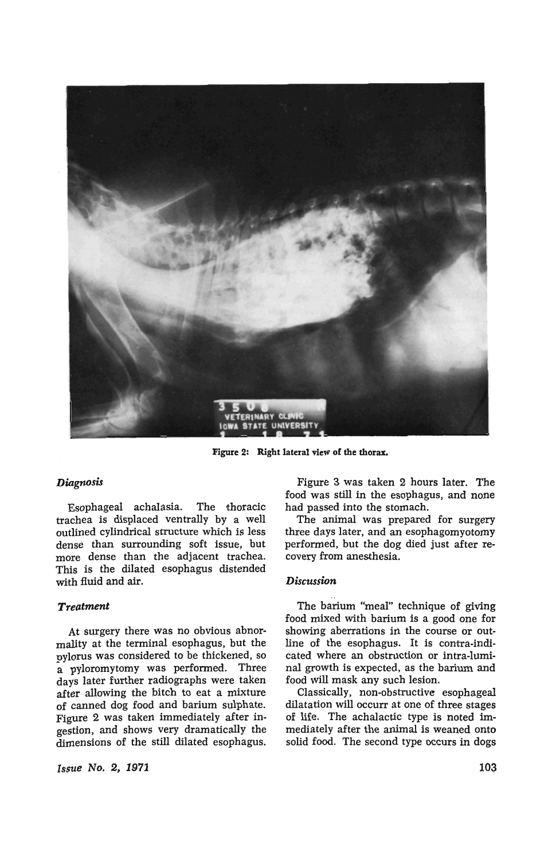

Figure 2: Right lateral view of the thorax.

## *Diagnosis*

Esophageal achalasia. The thoracic trachea is displaced ventrally by a well outlined cylindrical structure which is less dense than surrounding soft issue, but more dense than the adjacent trachea. This is the dilated esophagus distended with fluid and air.

## *Treatment*

At surgery there was no obvious abnormality at the terminal esophagus, but the pylorus was considered to be thickened, so a pyloromytomy was performed. Three days later further radiographs were taken after allowing the bitch to eat a mixture of canned dog food and barium sulphate. Figure 2 was taken immediately after ingestion, and shows very dramatically the dimensions of the still dilated esophagus.

*Issue* No.2, 1971

Figure 3 was taken 2 hours later. The food was still in the esophagus, and none had passed into the stomach.

The animal was prepared for surgery three days later, and an esophagomyotomy performed, but the dog died just after recovery from anesthesia.

### *Discussion*

The barium "meal" technique of giving food mixed with barium is a good one for showing aberrations in the course or outline of the esophagus. It is contra-indicated where an obstruction or intra-luminal growth is expected, as the barium and food will mask any such lesion.

Classically, non-obstructive esophageal dilatation will occurr at one of three stages of life. The achalactic type is noted immediately after the animal is weaned onto solid food. The second type occurs in dogs